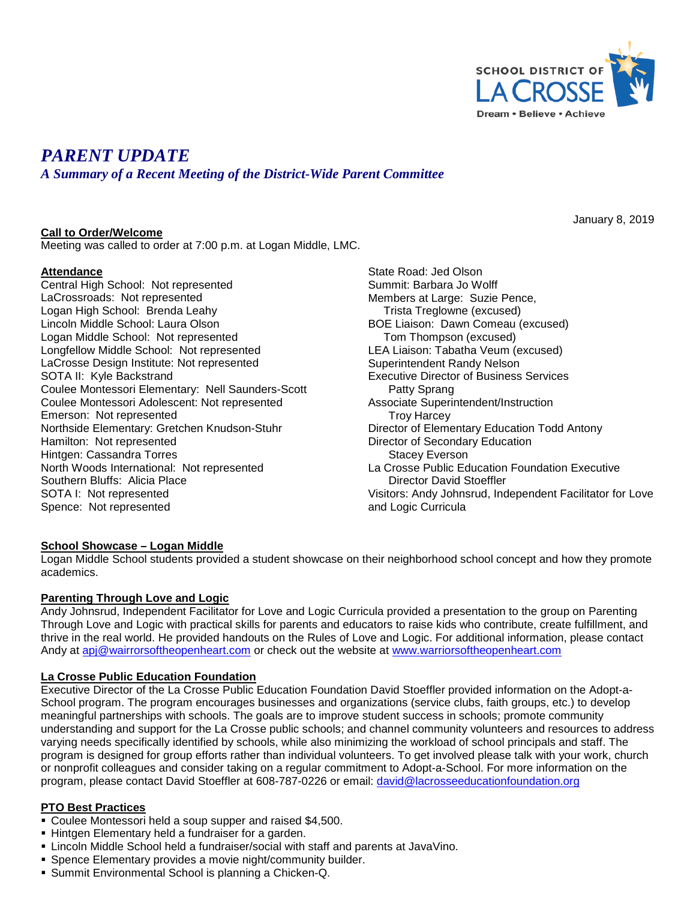

January 8, 2019

# *PARENT UPDATE*

*A Summary of a Recent Meeting of the District-Wide Parent Committee*

# **Call to Order/Welcome**

Meeting was called to order at 7:00 p.m. at Logan Middle, LMC.

#### **Attendance**

Central High School: Not represented LaCrossroads: Not represented Logan High School: Brenda Leahy Lincoln Middle School: Laura Olson Logan Middle School: Not represented Longfellow Middle School: Not represented LaCrosse Design Institute: Not represented SOTA II: Kyle Backstrand Coulee Montessori Elementary: Nell Saunders-Scott Coulee Montessori Adolescent: Not represented Emerson: Not represented Northside Elementary: Gretchen Knudson-Stuhr Hamilton: Not represented Hintgen: Cassandra Torres North Woods International: Not represented Southern Bluffs: Alicia Place SOTA I: Not represented Spence: Not represented

State Road: Jed Olson Summit: Barbara Jo Wolff Members at Large: Suzie Pence, Trista Treglowne (excused) BOE Liaison: Dawn Comeau (excused) Tom Thompson (excused) LEA Liaison: Tabatha Veum (excused) Superintendent Randy Nelson Executive Director of Business Services Patty Sprang Associate Superintendent/Instruction Troy Harcey Director of Elementary Education Todd Antony Director of Secondary Education Stacey Everson La Crosse Public Education Foundation Executive Director David Stoeffler Visitors: Andy Johnsrud, Independent Facilitator for Love and Logic Curricula

#### **School Showcase – Logan Middle**

Logan Middle School students provided a student showcase on their neighborhood school concept and how they promote academics.

#### **Parenting Through Love and Logic**

Andy Johnsrud, Independent Facilitator for Love and Logic Curricula provided a presentation to the group on Parenting Through Love and Logic with practical skills for parents and educators to raise kids who contribute, create fulfillment, and thrive in the real world. He provided handouts on the Rules of Love and Logic. For additional information, please contact Andy at [apj@wairrorsoftheopenheart.com](mailto:apj@arrorsoftheopenheart.com) or check out the website at [www.warriorsoftheopenheart.com](http://www.warriorsoftheopenheart.com/)

#### **La Crosse Public Education Foundation**

Executive Director of the La Crosse Public Education Foundation David Stoeffler provided information on the Adopt-a-School program. The program encourages businesses and organizations (service clubs, faith groups, etc.) to develop meaningful partnerships with schools. The goals are to improve student success in schools; promote community understanding and support for the La Crosse public schools; and channel community volunteers and resources to address varying needs specifically identified by schools, while also minimizing the workload of school principals and staff. The program is designed for group efforts rather than individual volunteers. To get involved please talk with your work, church or nonprofit colleagues and consider taking on a regular commitment to Adopt-a-School. For more information on the program, please contact David Stoeffler at 608-787-0226 or email: [david@lacrosseeducationfoundation.org](mailto:david@lacrosseeducationfoundation.org)

#### **PTO Best Practices**

- Coulee Montessori held a soup supper and raised \$4,500.
- Hintgen Elementary held a fundraiser for a garden.
- Lincoln Middle School held a fundraiser/social with staff and parents at JavaVino.
- Spence Elementary provides a movie night/community builder.
- Summit Environmental School is planning a Chicken-Q.